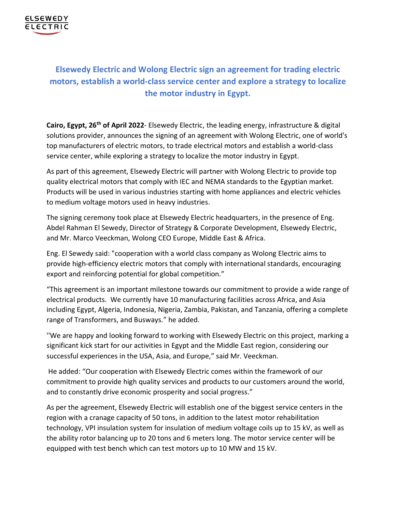

## **Elsewedy Electric and Wolong Electric sign an agreement for trading electric motors, establish a world-class service center and explore a strategy to localize the motor industry in Egypt.**

Cairo, Egypt, 26<sup>th</sup> of April 2022- Elsewedy Electric, the leading energy, infrastructure & digital solutions provider, announces the signing of an agreement with Wolong Electric, one of world's top manufacturers of electric motors, to trade electrical motors and establish a world-class service center, while exploring a strategy to localize the motor industry in Egypt.

As part of this agreement, Elsewedy Electric will partner with Wolong Electric to provide top quality electrical motors that comply with IEC and NEMA standards to the Egyptian market. Products will be used in various industries starting with home appliances and electric vehicles to medium voltage motors used in heavy industries.

The signing ceremony took place at Elsewedy Electric headquarters, in the presence of Eng. Abdel Rahman El Sewedy, Director of Strategy & Corporate Development, Elsewedy Electric, and Mr. Marco Veeckman, Wolong CEO Europe, Middle East & Africa.

Eng. El Sewedy said: "cooperation with a world class company as Wolong Electric aims to provide high-efficiency electric motors that comply with international standards, encouraging export and reinforcing potential for global competition."

"This agreement is an important milestone towards our commitment to provide a wide range of electrical products. We currently have 10 manufacturing facilities across Africa, and Asia including Egypt, Algeria, Indonesia, Nigeria, Zambia, Pakistan, and Tanzania, offering a complete range of Transformers, and Busways." he added.

''We are happy and looking forward to working with Elsewedy Electric on this project, marking a significant kick start for our activities in Egypt and the Middle East region, considering our successful experiences in the USA, Asia, and Europe," said Mr. Veeckman.

He added: "Our cooperation with Elsewedy Electric comes within the framework of our commitment to provide high quality services and products to our customers around the world, and to constantly drive economic prosperity and social progress."

As per the agreement, Elsewedy Electric will establish one of the biggest service centers in the region with a cranage capacity of 50 tons, in addition to the latest motor rehabilitation technology, VPI insulation system for insulation of medium voltage coils up to 15 kV, as well as the ability rotor balancing up to 20 tons and 6 meters long. The motor service center will be equipped with test bench which can test motors up to 10 MW and 15 kV.